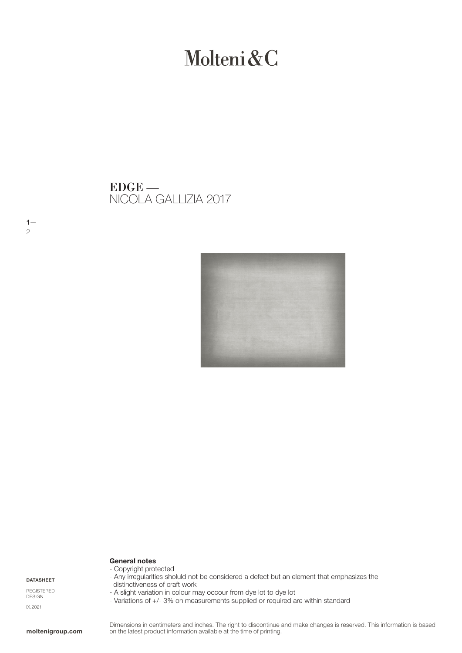# Molteni&C

NICOLA GALLIZIA 2017 EDGE —



## General notes

DATASHEET

 $1-$ 

2

REGISTERED DESIGN IX.2021

## - Copyright protected

- Any irregularities sholuld not be considered a defect but an element that emphasizes the distinctiveness of craft work
- A slight variation in colour may occour from dye lot to dye lot
- Variations of +/- 3% on measurements supplied or required are within standard

Dimensions in centimeters and inches. The right to discontinue and make changes is reserved. This information is based on the latest product information available at the time of printing.